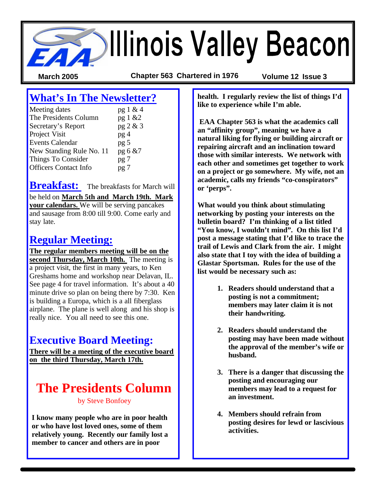**SAN Allinois Valley Beacon** 

**March 2005 Chapter 563 Chartered in 1976 Volume 12 Issue 3**

# **What's In The Newsletter?**

| Meeting dates                | pg 1 & 4        |
|------------------------------|-----------------|
| The Presidents Column        | pg 1 &2         |
| Secretary's Report           | pg 2 & 3        |
| Project Visit                | pg <sub>4</sub> |
| <b>Events Calendar</b>       | pg <sub>5</sub> |
| New Standing Rule No. 11     | pg 6 &7         |
| Things To Consider           | pg 7            |
| <b>Officers Contact Info</b> | pg 7            |

**Breakfast:** The breakfasts for March will be held on **March 5th and March 19th. Mark your calendars.** We will be serving pancakes and sausage from 8:00 till 9:00. Come early and stay late.

## **Regular Meeting:**

**The regular members meeting will be on the second Thursday, March 10th.** The meeting is a project visit, the first in many years, to Ken Greshams home and workshop near Delavan, IL. See page 4 for travel information. It's about a 40 minute drive so plan on being there by 7:30. Ken is building a Europa, which is a all fiberglass airplane. The plane is well along and his shop is really nice. You all need to see this one.

## **Executive Board Meeting:**

**There will be a meeting of the executive board on the third Thursday, March 17th.** 

## **The Presidents Column**  by Steve Bonfoey

**I know many people who are in poor health or who have lost loved ones, some of them relatively young. Recently our family lost a member to cancer and others are in poor** 

**health. I regularly review the list of things I'd like to experience while I'm able.** 

 **EAA Chapter 563 is what the academics call an "affinity group", meaning we have a natural liking for flying or building aircraft or repairing aircraft and an inclination toward those with similar interests. We network with each other and sometimes get together to work on a project or go somewhere. My wife, not an academic, calls my friends "co-conspirators" or 'perps".**

**What would you think about stimulating networking by posting your interests on the bulletin board? I'm thinking of a list titled "You know, I wouldn't mind". On this list I'd post a message stating that I'd like to trace the trail of Lewis and Clark from the air. I might also state that I toy with the idea of building a Glastar Sportsman. Rules for the use of the list would be necessary such as:**

- **1. Readers should understand that a posting is not a commitment; members may later claim it is not their handwriting.**
- **2. Readers should understand the posting may have been made without the approval of the member's wife or husband.**
- **3. There is a danger that discussing the posting and encouraging our members may lead to a request for an investment.**
- **4. Members should refrain from posting desires for lewd or lascivious activities.**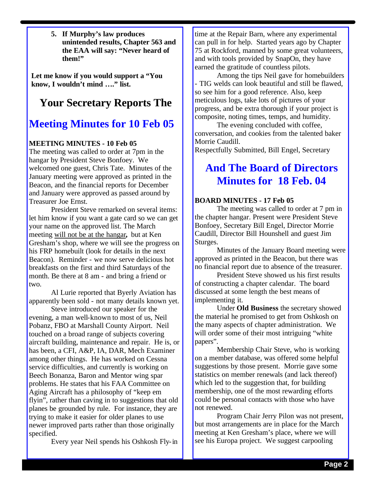**5. If Murphy's law produces unintended results, Chapter 563 and the EAA will say: "Never heard of them!"**

**Let me know if you would support a "You know, I wouldn't mind …." list.**

## **Your Secretary Reports The**

## **Meeting Minutes for 10 Feb 05**

#### **MEETING MINUTES - 10 Feb 05**

The meeting was called to order at 7pm in the hangar by President Steve Bonfoey. We welcomed one guest, Chris Tate. Minutes of the January meeting were approved as printed in the Beacon, and the financial reports for December and January were approved as passed around by Treasurer Joe Ernst.

President Steve remarked on several items: let him know if you want a gate card so we can get your name on the approved list. The March meeting will not be at the hangar**,** but at Ken Gresham's shop, where we will see the progress on his FRP homebuilt (look for details in the next Beacon). Reminder - we now serve delicious hot breakfasts on the first and third Saturdays of the month. Be there at 8 am - and bring a friend or two.

Al Lurie reported that Byerly Aviation has apparently been sold - not many details known yet.

Steve introduced our speaker for the evening, a man well-known to most of us, Neil Pobanz, FBO at Marshall County Airport. Neil touched on a broad range of subjects covering aircraft building, maintenance and repair. He is, or has been, a CFI, A&P, IA, DAR, Mech Examiner among other things. He has worked on Cessna service difficulties, and currently is working on Beech Bonanza, Baron and Mentor wing spar problems. He states that his FAA Committee on Aging Aircraft has a philosophy of "keep em flyin", rather than caving in to suggestions that old planes be grounded by rule. For instance, they are trying to make it easier for older planes to use newer improved parts rather than those originally specified.

Every year Neil spends his Oshkosh Fly-in

time at the Repair Barn, where any experimental can pull in for help. Started years ago by Chapter 75 at Rockford, manned by some great volunteers, and with tools provided by SnapOn, they have earned the gratitude of countless pilots.

Among the tips Neil gave for homebuilders - TIG welds can look beautiful and still be flawed, so see him for a good reference. Also, keep meticulous logs, take lots of pictures of your progress, and be extra thorough if your project is composite, noting times, temps, and humidity.

The evening concluded with coffee, conversation, and cookies from the talented baker Morrie Caudill.

Respectfully Submitted, Bill Engel, Secretary

## **And The Board of Directors Minutes for 18 Feb. 04**

#### **BOARD MINUTES - 17 Feb 05**

The meeting was called to order at 7 pm in the chapter hangar. Present were President Steve Bonfoey, Secretary Bill Engel, Director Morrie Caudill, Director Bill Hounshell and guest Jim Sturges.

Minutes of the January Board meeting were approved as printed in the Beacon, but there was no financial report due to absence of the treasurer.

President Steve showed us his first results of constructing a chapter calendar. The board discussed at some length the best means of implementing it.

Under **Old Business** the secretary showed the material he promised to get from Oshkosh on the many aspects of chapter administration. We will order some of their most intriguing "white" papers".

Membership Chair Steve, who is working on a member database, was offered some helpful suggestions by those present. Morrie gave some statistics on member renewals (and lack thereof) which led to the suggestion that, for building membership, one of the most rewarding efforts could be personal contacts with those who have not renewed.

Program Chair Jerry Pilon was not present, but most arrangements are in place for the March meeting at Ken Gresham's place, where we will see his Europa project. We suggest carpooling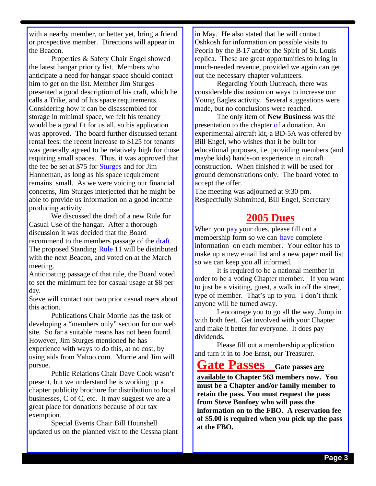with a nearby member, or better yet, bring a friend or prospective member. Directions will appear in the Beacon.

Properties & Safety Chair Engel showed the latest hangar priority list. Members who anticipate a need for hangar space should contact him to get on the list. Member Jim Sturges presented a good description of his craft, which he calls a Trike, and of his space requirements. Considering how it can be disassembled for storage in minimal space, we felt his tenancy would be a good fit for us all, so his application was approved. The board further discussed tenant rental fees: the recent increase to \$125 for tenants was generally agreed to be relatively high for those requiring small spaces. Thus, it was approved that the fee be set at \$75 for Sturges and for Jim Hanneman, as long as his space requirement remains small. As we were voicing our financial concerns, Jim Sturges interjected that he might be able to provide us information on a good income producing activity.

We discussed the draft of a new Rule for Casual Use of the hangar. After a thorough discussion it was decided that the Board recommend to the members passage of the draft. The proposed Standing Rule 11 will be distributed with the next Beacon, and voted on at the March meeting.

Anticipating passage of that rule, the Board voted to set the minimum fee for casual usage at \$8 per day.

Steve will contact our two prior casual users about this action.

Publications Chair Morrie has the task of developing a "members only" section for our web site. So far a suitable means has not been found. However, Jim Sturges mentioned he has experience with ways to do this, at no cost, by using aids from Yahoo.com. Morrie and Jim will pursue.

Public Relations Chair Dave Cook wasn't present, but we understand he is working up a chapter publicity brochure for distribution to local businesses, C of C, etc. It may suggest we are a great place for donations because of our tax exemption.

Special Events Chair Bill Hounshell updated us on the planned visit to the Cessna plant in May. He also stated that he will contact Oshkosh for information on possible visits to Peoria by the B-17 and/or the Spirit of St. Louis replica. These are great opportunities to bring in much-needed revenue, provided we again can get out the necessary chapter volunteers.

Regarding Youth Outreach, there was considerable discussion on ways to increase our Young Eagles activity. Several suggestions were made, but no conclusions were reached.

The only item of **New Business** was the presentation to the chapter of a donation. An experimental aircraft kit, a BD-5A was offered by Bill Engel, who wishes that it be built for educational purposes, i.e. providing members (and maybe kids) hands-on experience in aircraft construction. When finished it will be used for ground demonstrations only. The board voted to accept the offer.

The meeting was adjourned at 9:30 pm. Respectfully Submitted, Bill Engel, Secretary

## **2005 Dues**

When you pay your dues, please fill out a membership form so we can have complete information on each member. Your editor has to make up a new email list and a new paper mail list so we can keep you all informed.

It is required to be a national member in order to be a voting Chapter member. If you want to just be a visiting, guest, a walk in off the street, type of member. That's up to you. I don't think anyone will be turned away.

I encourage you to go all the way. Jump in with both feet. Get involved with your Chapter and make it better for everyone. It does pay dividends.

Please fill out a membership application and turn it in to Joe Ernst, our Treasurer.

**Gate Passes Gate passes are** 

**available to Chapter 563 members now. You must be a Chapter and/or family member to retain the pass. You must request the pass from Steve Bonfoey who will pass the information on to the FBO. A reservation fee of \$5.00 is required when you pick up the pass at the FBO.**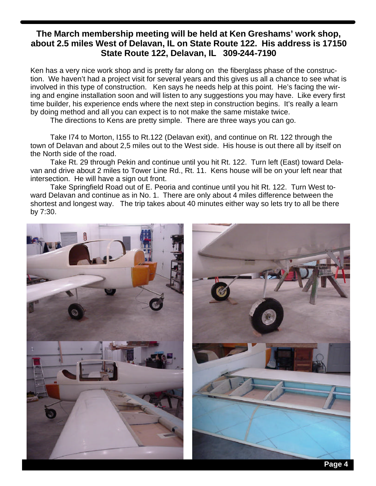#### **The March membership meeting will be held at Ken Greshams' work shop, about 2.5 miles West of Delavan, IL on State Route 122. His address is 17150 State Route 122, Delavan, IL 309-244-7190**

Ken has a very nice work shop and is pretty far along on the fiberglass phase of the construction. We haven't had a project visit for several years and this gives us all a chance to see what is involved in this type of construction. Ken says he needs help at this point. He's facing the wiring and engine installation soon and will listen to any suggestions you may have. Like every first time builder, his experience ends where the next step in construction begins. It's really a learn by doing method and all you can expect is to not make the same mistake twice.

The directions to Kens are pretty simple. There are three ways you can go.

Take I74 to Morton, I155 to Rt.122 (Delavan exit), and continue on Rt. 122 through the town of Delavan and about 2,5 miles out to the West side. His house is out there all by itself on the North side of the road.

Take Rt. 29 through Pekin and continue until you hit Rt. 122. Turn left (East) toward Delavan and drive about 2 miles to Tower Line Rd., Rt. 11. Kens house will be on your left near that intersection. He will have a sign out front.

Take Springfield Road out of E. Peoria and continue until you hit Rt. 122. Turn West toward Delavan and continue as in No. 1. There are only about 4 miles difference between the shortest and longest way. The trip takes about 40 minutes either way so lets try to all be there by 7:30.

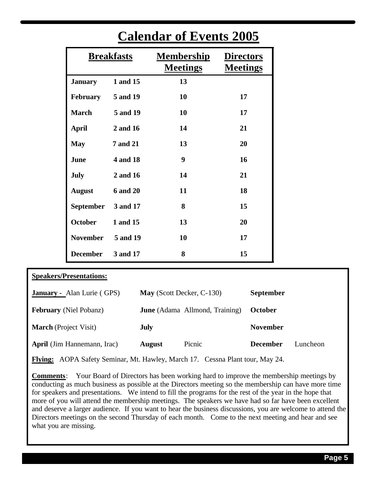| <b>Breakfasts</b> |                 | <b>Membership</b><br><b>Meetings</b> | <b>Directors</b><br><b>Meetings</b> |  |
|-------------------|-----------------|--------------------------------------|-------------------------------------|--|
| <b>January</b>    | 1 and 15        | 13                                   |                                     |  |
| <b>February</b>   | 5 and 19        | 10                                   | 17                                  |  |
| <b>March</b>      | 5 and 19        | 10                                   | 17                                  |  |
| <b>April</b>      | 2 and 16        | 14                                   | 21                                  |  |
| <b>May</b>        | <b>7 and 21</b> | 13                                   | 20                                  |  |
| June              | 4 and 18        | 9                                    | 16                                  |  |
| <b>July</b>       | 2 and 16        | 14                                   | 21                                  |  |
| <b>August</b>     | <b>6 and 20</b> | 11                                   | 18                                  |  |
| <b>September</b>  | 3 and 17        | 8                                    | 15                                  |  |
| <b>October</b>    | 1 and 15        | 13                                   | 20                                  |  |
| <b>November</b>   | 5 and 19        | 10                                   | 17                                  |  |
| <b>December</b>   | 3 and 17        | 8                                    | 15                                  |  |

# **Calendar of Events 2005**

| <b>Speakers/Presentations:</b>     |                           |                                       |                  |          |
|------------------------------------|---------------------------|---------------------------------------|------------------|----------|
| <b>January - Alan Lurie (GPS)</b>  | May (Scott Decker, C-130) |                                       | <b>September</b> |          |
| <b>February</b> (Niel Pobanz)      |                           | <b>June</b> (Adama Allmond, Training) | <b>October</b>   |          |
| <b>March</b> (Project Visit)       | <b>July</b>               |                                       | <b>November</b>  |          |
| <b>April</b> (Jim Hannemann, Irac) | <b>August</b>             | Picnic                                | <b>December</b>  | Luncheon |

**Flying:** AOPA Safety Seminar, Mt. Hawley, March 17. Cessna Plant tour, May 24.

**Comments**: Your Board of Directors has been working hard to improve the membership meetings by conducting as much business as possible at the Directors meeting so the membership can have more time for speakers and presentations. We intend to fill the programs for the rest of the year in the hope that more of you will attend the membership meetings. The speakers we have had so far have been excellent and deserve a larger audience. If you want to hear the business discussions, you are welcome to attend the Directors meetings on the second Thursday of each month. Come to the next meeting and hear and see what you are missing.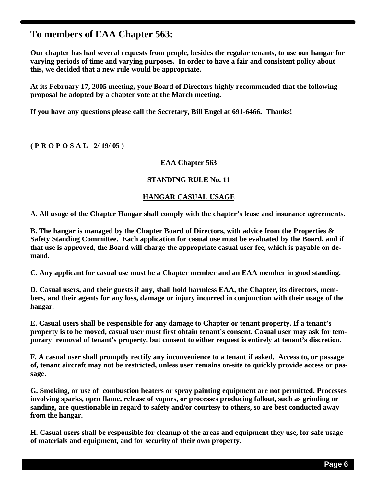### **To members of EAA Chapter 563:**

**Our chapter has had several requests from people, besides the regular tenants, to use our hangar for varying periods of time and varying purposes. In order to have a fair and consistent policy about this, we decided that a new rule would be appropriate.**

**At its February 17, 2005 meeting, your Board of Directors highly recommended that the following proposal be adopted by a chapter vote at the March meeting.** 

**If you have any questions please call the Secretary, Bill Engel at 691-6466. Thanks!** 

**( P R O P O S A L 2/ 19/ 05 )**

#### **EAA Chapter 563**

#### **STANDING RULE No. 11**

#### **HANGAR CASUAL USAGE**

**A. All usage of the Chapter Hangar shall comply with the chapter's lease and insurance agreements.**

**B. The hangar is managed by the Chapter Board of Directors, with advice from the Properties & Safety Standing Committee. Each application for casual use must be evaluated by the Board, and if that use is approved, the Board will charge the appropriate casual user fee, which is payable on demand.**

**C. Any applicant for casual use must be a Chapter member and an EAA member in good standing.**

**D. Casual users, and their guests if any, shall hold harmless EAA, the Chapter, its directors, members, and their agents for any loss, damage or injury incurred in conjunction with their usage of the hangar.**

**E. Casual users shall be responsible for any damage to Chapter or tenant property. If a tenant's property is to be moved, casual user must first obtain tenant's consent. Casual user may ask for temporary removal of tenant's property, but consent to either request is entirely at tenant's discretion.**

**F. A casual user shall promptly rectify any inconvenience to a tenant if asked. Access to, or passage of, tenant aircraft may not be restricted, unless user remains on-site to quickly provide access or passage.**

**G. Smoking, or use of combustion heaters or spray painting equipment are not permitted. Processes involving sparks, open flame, release of vapors, or processes producing fallout, such as grinding or sanding, are questionable in regard to safety and/or courtesy to others, so are best conducted away from the hangar.**

**H. Casual users shall be responsible for cleanup of the areas and equipment they use, for safe usage of materials and equipment, and for security of their own property.**